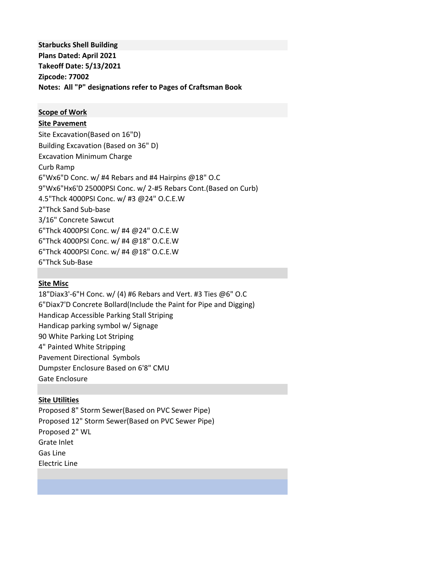**Starbucks Shell Building Plans Dated: April 2021 Takeoff Date: 5/13/2021 Zipcode: 77002 Notes: All "P" designations refer to Pages of Craftsman Book**

### **Scope of Work**

#### **Site Pavement**

Site Excavation(Based on 16"D) Building Excavation (Based on 36" D) Excavation Minimum Charge Curb Ramp 6"Wx6"D Conc. w/ #4 Rebars and #4 Hairpins @18" O.C 9"Wx6"Hx6'D 25000PSI Conc. w/ 2-#5 Rebars Cont.(Based on Curb) 4.5"Thck 4000PSI Conc. w/ #3 @24" O.C.E.W 2"Thck Sand Sub-base 3/16" Concrete Sawcut 6"Thck 4000PSI Conc. w/ #4 @24" O.C.E.W 6"Thck 4000PSI Conc. w/ #4 @18" O.C.E.W 6"Thck 4000PSI Conc. w/ #4 @18" O.C.E.W 6"Thck Sub-Base

#### **Site Misc**

18"Diax3'-6"H Conc. w/ (4) #6 Rebars and Vert. #3 Ties @6" O.C 6"Diax7'D Concrete Bollard(Include the Paint for Pipe and Digging) Handicap Accessible Parking Stall Striping Handicap parking symbol w/ Signage 90 White Parking Lot Striping 4" Painted White Stripping Pavement Directional Symbols Dumpster Enclosure Based on 6'8" CMU Gate Enclosure

## **Site Utilities**

Proposed 8" Storm Sewer(Based on PVC Sewer Pipe) Proposed 12" Storm Sewer(Based on PVC Sewer Pipe) Proposed 2" WL Grate Inlet Gas Line Electric Line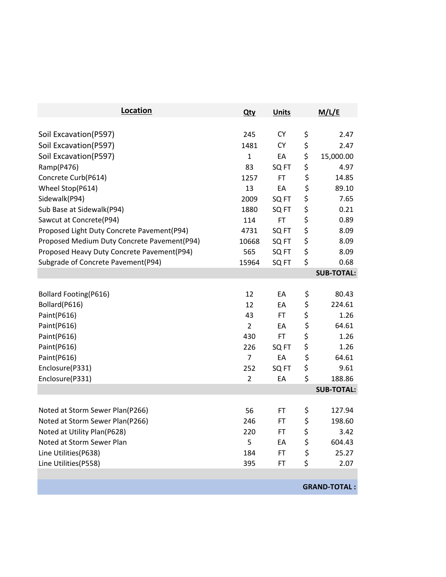| Location                                    | <b>Qty</b>     | <b>Units</b>     | M/L/E               |
|---------------------------------------------|----------------|------------------|---------------------|
|                                             |                |                  |                     |
| Soil Excavation (P597)                      | 245            | <b>CY</b>        | \$<br>2.47          |
| Soil Excavation(P597)                       | 1481           | <b>CY</b>        | \$<br>2.47          |
| Soil Excavation(P597)                       | $\mathbf{1}$   | EA               | \$<br>15,000.00     |
| Ramp(P476)                                  | 83             | SQ FT            | \$<br>4.97          |
| Concrete Curb(P614)                         | 1257           | <b>FT</b>        | \$<br>14.85         |
| Wheel Stop(P614)                            | 13             | EA               | \$<br>89.10         |
| Sidewalk(P94)                               | 2009           | SQ FT            | \$<br>7.65          |
| Sub Base at Sidewalk(P94)                   | 1880           | SQ <sub>FT</sub> | \$<br>0.21          |
| Sawcut at Concrete(P94)                     | 114            | FT               | \$<br>0.89          |
| Proposed Light Duty Concrete Pavement(P94)  | 4731           | SQ FT            | \$<br>8.09          |
| Proposed Medium Duty Concrete Pavement(P94) | 10668          | SQ FT            | \$<br>8.09          |
| Proposed Heavy Duty Concrete Pavement(P94)  | 565            | SQ <sub>FT</sub> | \$<br>8.09          |
| Subgrade of Concrete Pavement(P94)          | 15964          | SQ FT            | \$<br>0.68          |
|                                             |                |                  | <b>SUB-TOTAL:</b>   |
| <b>Bollard Footing(P616)</b>                | 12             | EA               | \$<br>80.43         |
| Bollard(P616)                               | 12             | EA               | \$<br>224.61        |
| Paint(P616)                                 | 43             | <b>FT</b>        | \$<br>1.26          |
| Paint(P616)                                 | $\overline{2}$ | EA               | \$<br>64.61         |
| Paint(P616)                                 | 430            | <b>FT</b>        | \$<br>1.26          |
| Paint(P616)                                 | 226            | SQ <sub>FT</sub> | \$<br>1.26          |
| Paint(P616)                                 | $\overline{7}$ | EA               | \$<br>64.61         |
| Enclosure(P331)                             | 252            | SQ FT            | \$<br>9.61          |
| Enclosure(P331)                             | $\overline{2}$ | EA               | \$<br>188.86        |
|                                             |                |                  | <b>SUB-TOTAL:</b>   |
| Noted at Storm Sewer Plan(P266)             | 56             | FT               | \$<br>127.94        |
| Noted at Storm Sewer Plan(P266)             | 246            | FT               | \$<br>198.60        |
| Noted at Utility Plan(P628)                 | 220            | FT               | \$<br>3.42          |
| Noted at Storm Sewer Plan                   | 5              | EA               | \$<br>604.43        |
| Line Utilities(P638)                        | 184            | FT.              | \$<br>25.27         |
| Line Utilities(P558)                        | 395            | FT.              | \$<br>2.07          |
|                                             |                |                  |                     |
|                                             |                |                  | <b>GRAND-TOTAL:</b> |